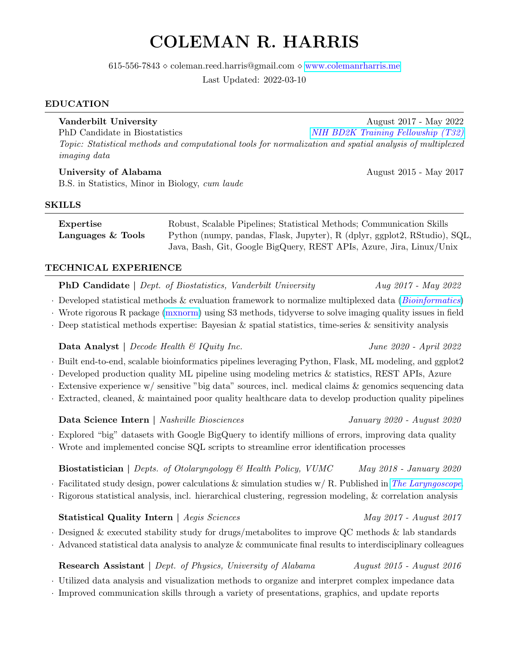# COLEMAN R. HARRIS

 $615-556-7843 \diamond$  coleman.reed.harris@gmail.com  $\diamond$  [www.colemanrharris.me](http://www.colemanrharris.me)

Last Updated: 2022-03-10

### EDUCATION

Vanderbilt University August 2017 - May 2022 PhD Candidate in Biostatistics [NIH BD2K Training Fellowship \(T32\)](https://commonfund.nih.gov/bd2k) Topic: Statistical methods and computational tools for normalization and spatial analysis of multiplexed imaging data

University of Alabama August 2015 - May 2017 B.S. in Statistics, Minor in Biology, cum laude

### SKILLS

Expertise Robust, Scalable Pipelines; Statistical Methods; Communication Skills Languages & Tools Python (numpy, pandas, Flask, Jupyter), R (dplyr, ggplot2, RStudio), SQL, Java, Bash, Git, Google BigQuery, REST APIs, Azure, Jira, Linux/Unix

### TECHNICAL EXPERIENCE

PhD Candidate | Dept. of Biostatistics, Vanderbilt University Aug 2017 - May 2022

- · Developed statistical methods & evaluation framework to normalize multiplexed data ([Bioinformatics](https://academic.oup.com/bioinformatics/advance-article-abstract/doi/10.1093/bioinformatics/btab877/6496920))
- · Wrote rigorous R package [\(mxnorm\)](https://github.com/ColemanRHarris/mxnorm) using S3 methods, tidyverse to solve imaging quality issues in field
- · Deep statistical methods expertise: Bayesian & spatial statistics, time-series & sensitivity analysis

# Data Analyst | Decode Health & IQuity Inc. June 2020 - April 2022

- · Built end-to-end, scalable bioinformatics pipelines leveraging Python, Flask, ML modeling, and ggplot2
- · Developed production quality ML pipeline using modeling metrics & statistics, REST APIs, Azure
- · Extensive experience w/ sensitive "big data" sources, incl. medical claims & genomics sequencing data
- · Extracted, cleaned, & maintained poor quality healthcare data to develop production quality pipelines

# Data Science Intern | Nashville Biosciences January 2020 - August 2020

- · Explored "big" datasets with Google BigQuery to identify millions of errors, improving data quality
- · Wrote and implemented concise SQL scripts to streamline error identification processes

# Biostatistician | Depts. of Otolaryngology & Health Policy, VUMC May 2018 - January 2020  $\cdot$  Facilitated study design, power calculations & simulation studies w/ R. Published in [The Laryngoscope](https://doi.org/10.1002/lary.28557).

· Rigorous statistical analysis, incl. hierarchical clustering, regression modeling, & correlation analysis

# Statistical Quality Intern | Aegis Sciences May 2017 - August 2017

- · Designed & executed stability study for drugs/metabolites to improve QC methods & lab standards
- · Advanced statistical data analysis to analyze & communicate final results to interdisciplinary colleagues

# Research Assistant | Dept. of Physics, University of Alabama August 2015 - August 2016

· Utilized data analysis and visualization methods to organize and interpret complex impedance data

· Improved communication skills through a variety of presentations, graphics, and update reports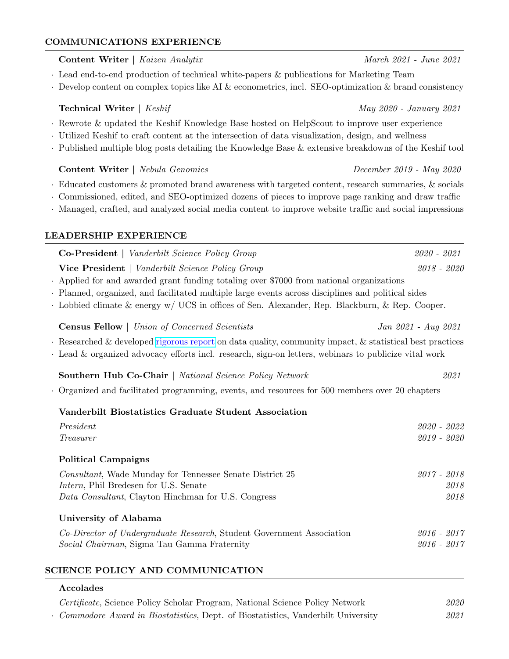# COMMUNICATIONS EXPERIENCE **Content Writer** | Kaizen Analytix March 2021 - June 2021 - March 2021 - June 2021 · Lead end-to-end production of technical white-papers & publications for Marketing Team  $\cdot$  Develop content on complex topics like AI & econometrics, incl. SEO-optimization & brand consistency **Technical Writer** | Keshif May 2020 - January 2021 · Rewrote & updated the Keshif Knowledge Base hosted on HelpScout to improve user experience · Utilized Keshif to craft content at the intersection of data visualization, design, and wellness · Published multiple blog posts detailing the Knowledge Base & extensive breakdowns of the Keshif tool Content Writer | Nebula Genomics December 2019 - May 2020 · Educated customers & promoted brand awareness with targeted content, research summaries, & socials · Commissioned, edited, and SEO-optimized dozens of pieces to improve page ranking and draw traffic · Managed, crafted, and analyzed social media content to improve website traffic and social impressions LEADERSHIP EXPERIENCE Co-President | Vanderbilt Science Policy Group 2020 - 2021 Vice President | Vanderbilt Science Policy Group 2018 - 2020 · Applied for and awarded grant funding totaling over \$7000 from national organizations · Planned, organized, and facilitated multiple large events across disciplines and political sides · Lobbied climate & energy w/ UCS in offices of Sen. Alexander, Rep. Blackburn, & Rep. Cooper. Census Fellow | Union of Concerned Scientists Jan 2021 - Aug 2021 · Researched & developed [rigorous report](https://www.ucsusa.org/resources/census-redistricting) on data quality, community impact, & statistical best practices · Lead & organized advocacy efforts incl. research, sign-on letters, webinars to publicize vital work Southern Hub Co-Chair | National Science Policy Network 2021 · Organized and facilitated programming, events, and resources for 500 members over 20 chapters Vanderbilt Biostatistics Graduate Student Association President 2020 - 2022 Treasurer 2019 - 2020 Political Campaigns Consultant, Wade Munday for Tennessee Senate District 25 2017 - 2018 Intern, Phil Bredesen for U.S. Senate 2018 Data Consultant, Clayton Hinchman for U.S. Congress 2018 University of Alabama

Co-Director of Undergraduate Research, Student Government Association 2016 - 2017 Social Chairman, Sigma Tau Gamma Fraternity 2016 - 2017

# SCIENCE POLICY AND COMMUNICATION

# Accolades

| Certificate, Science Policy Scholar Program, National Science Policy Network      | 2020 |
|-----------------------------------------------------------------------------------|------|
| • Commodore Award in Biostatistics, Dept. of Biostatistics, Vanderbilt University | 2021 |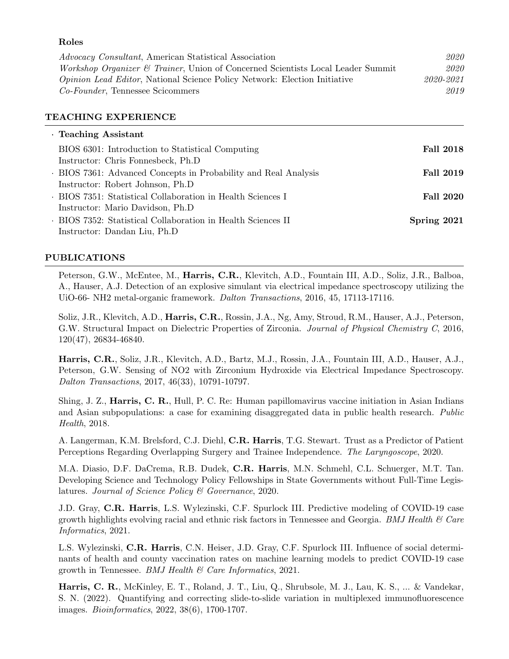#### Roles

Advocacy Consultant, American Statistical Association 2020 Workshop Organizer & Trainer, Union of Concerned Scientists Local Leader Summit 2020 Opinion Lead Editor, National Science Policy Network: Election Initiative 2020-2021 Co-Founder, Tennessee Scicommers 2019

### TEACHING EXPERIENCE

| · Teaching Assistant                                            |                  |
|-----------------------------------------------------------------|------------------|
| BIOS 6301: Introduction to Statistical Computing                | <b>Fall 2018</b> |
| Instructor: Chris Fonnesbeck, Ph.D                              |                  |
| . BIOS 7361: Advanced Concepts in Probability and Real Analysis | <b>Fall 2019</b> |
| Instructor: Robert Johnson, Ph.D.                               |                  |
| . BIOS 7351: Statistical Collaboration in Health Sciences I     | <b>Fall 2020</b> |
| Instructor: Mario Davidson, Ph.D.                               |                  |
| . BIOS 7352: Statistical Collaboration in Health Sciences II    | Spring 2021      |
| Instructor: Dandan Liu, Ph.D                                    |                  |

### PUBLICATIONS

Peterson, G.W., McEntee, M., Harris, C.R., Klevitch, A.D., Fountain III, A.D., Soliz, J.R., Balboa, A., Hauser, A.J. Detection of an explosive simulant via electrical impedance spectroscopy utilizing the UiO-66- NH2 metal-organic framework. Dalton Transactions, 2016, 45, 17113-17116.

Soliz, J.R., Klevitch, A.D., Harris, C.R., Rossin, J.A., Ng, Amy, Stroud, R.M., Hauser, A.J., Peterson, G.W. Structural Impact on Dielectric Properties of Zirconia. Journal of Physical Chemistry C, 2016, 120(47), 26834-46840.

Harris, C.R., Soliz, J.R., Klevitch, A.D., Bartz, M.J., Rossin, J.A., Fountain III, A.D., Hauser, A.J., Peterson, G.W. Sensing of NO2 with Zirconium Hydroxide via Electrical Impedance Spectroscopy. Dalton Transactions, 2017, 46(33), 10791-10797.

Shing, J. Z., Harris, C. R., Hull, P. C. Re: Human papillomavirus vaccine initiation in Asian Indians and Asian subpopulations: a case for examining disaggregated data in public health research. Public Health, 2018.

A. Langerman, K.M. Brelsford, C.J. Diehl, C.R. Harris, T.G. Stewart. Trust as a Predictor of Patient Perceptions Regarding Overlapping Surgery and Trainee Independence. The Laryngoscope, 2020.

M.A. Diasio, D.F. DaCrema, R.B. Dudek, C.R. Harris, M.N. Schmehl, C.L. Schuerger, M.T. Tan. Developing Science and Technology Policy Fellowships in State Governments without Full-Time Legislatures. Journal of Science Policy & Governance, 2020.

J.D. Gray, C.R. Harris, L.S. Wylezinski, C.F. Spurlock III. Predictive modeling of COVID-19 case growth highlights evolving racial and ethnic risk factors in Tennessee and Georgia. *BMJ Health*  $\mathscr$  *Care* Informatics, 2021.

L.S. Wylezinski, C.R. Harris, C.N. Heiser, J.D. Gray, C.F. Spurlock III. Influence of social determinants of health and county vaccination rates on machine learning models to predict COVID-19 case growth in Tennessee. BMJ Health & Care Informatics, 2021.

Harris, C. R., McKinley, E. T., Roland, J. T., Liu, Q., Shrubsole, M. J., Lau, K. S., ... & Vandekar, S. N. (2022). Quantifying and correcting slide-to-slide variation in multiplexed immunofluorescence images. Bioinformatics, 2022, 38(6), 1700-1707.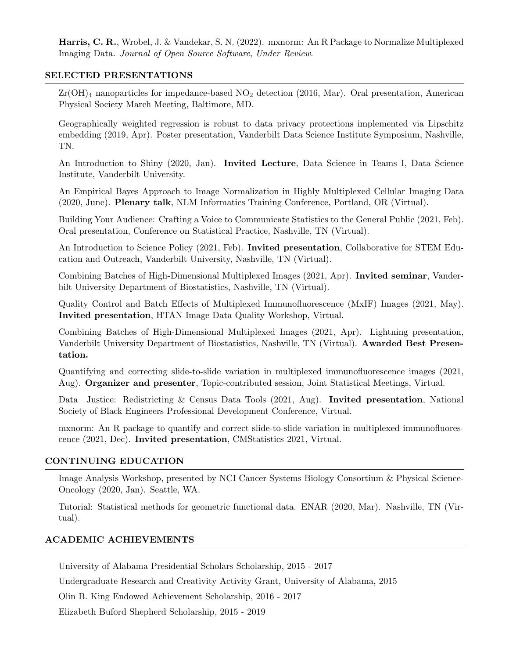Harris, C. R., Wrobel, J. & Vandekar, S. N. (2022). mxnorm: An R Package to Normalize Multiplexed Imaging Data. Journal of Open Source Software, Under Review.

### SELECTED PRESENTATIONS

 $Zr(OH)_4$  nanoparticles for impedance-based  $NO_2$  detection (2016, Mar). Oral presentation, American Physical Society March Meeting, Baltimore, MD.

Geographically weighted regression is robust to data privacy protections implemented via Lipschitz embedding (2019, Apr). Poster presentation, Vanderbilt Data Science Institute Symposium, Nashville, TN.

An Introduction to Shiny (2020, Jan). Invited Lecture, Data Science in Teams I, Data Science Institute, Vanderbilt University.

An Empirical Bayes Approach to Image Normalization in Highly Multiplexed Cellular Imaging Data (2020, June). Plenary talk, NLM Informatics Training Conference, Portland, OR (Virtual).

Building Your Audience: Crafting a Voice to Communicate Statistics to the General Public (2021, Feb). Oral presentation, Conference on Statistical Practice, Nashville, TN (Virtual).

An Introduction to Science Policy (2021, Feb). Invited presentation, Collaborative for STEM Education and Outreach, Vanderbilt University, Nashville, TN (Virtual).

Combining Batches of High-Dimensional Multiplexed Images (2021, Apr). Invited seminar, Vanderbilt University Department of Biostatistics, Nashville, TN (Virtual).

Quality Control and Batch Effects of Multiplexed Immunofluorescence (MxIF) Images (2021, May). Invited presentation, HTAN Image Data Quality Workshop, Virtual.

Combining Batches of High-Dimensional Multiplexed Images (2021, Apr). Lightning presentation, Vanderbilt University Department of Biostatistics, Nashville, TN (Virtual). Awarded Best Presentation.

Quantifying and correcting slide-to-slide variation in multiplexed immunofluorescence images (2021, Aug). Organizer and presenter, Topic-contributed session, Joint Statistical Meetings, Virtual.

Data Justice: Redistricting & Census Data Tools (2021, Aug). Invited presentation, National Society of Black Engineers Professional Development Conference, Virtual.

mxnorm: An R package to quantify and correct slide-to-slide variation in multiplexed immunofluorescence (2021, Dec). Invited presentation, CMStatistics 2021, Virtual.

# CONTINUING EDUCATION

Image Analysis Workshop, presented by NCI Cancer Systems Biology Consortium & Physical Science-Oncology (2020, Jan). Seattle, WA.

Tutorial: Statistical methods for geometric functional data. ENAR (2020, Mar). Nashville, TN (Virtual).

# ACADEMIC ACHIEVEMENTS

University of Alabama Presidential Scholars Scholarship, 2015 - 2017

Undergraduate Research and Creativity Activity Grant, University of Alabama, 2015

Olin B. King Endowed Achievement Scholarship, 2016 - 2017

Elizabeth Buford Shepherd Scholarship, 2015 - 2019